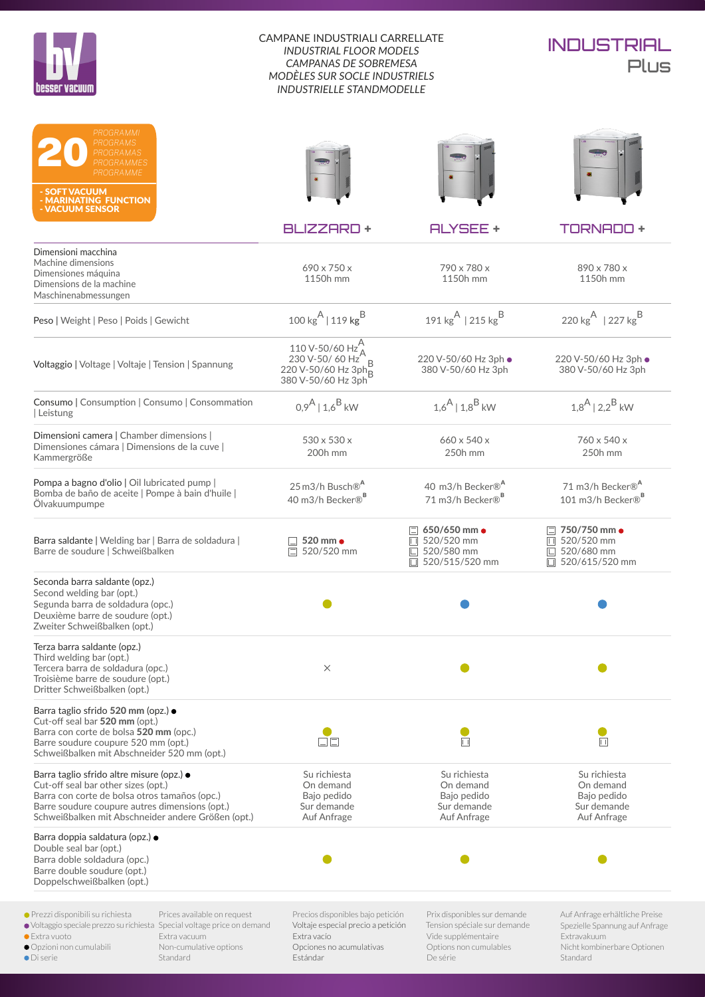



| PROGRAMMI<br>PROGRAMS<br>PROGRAMAS<br>PROGRAMMES<br>PROGRAMME<br>- SOFT VACUUM<br>- MARINATING FUNCTION<br>- VACUUM SENSOR                                                                                                                |                                                       |                                                                                                                                              |                                                                                                                           |                                                                                                                            |
|-------------------------------------------------------------------------------------------------------------------------------------------------------------------------------------------------------------------------------------------|-------------------------------------------------------|----------------------------------------------------------------------------------------------------------------------------------------------|---------------------------------------------------------------------------------------------------------------------------|----------------------------------------------------------------------------------------------------------------------------|
|                                                                                                                                                                                                                                           |                                                       | <b>BLIZZARD +</b>                                                                                                                            | <b>ALYSEE +</b>                                                                                                           | <b>TORNADO +</b>                                                                                                           |
| Dimensioni macchina<br>Machine dimensions<br>Dimensiones máquina<br>Dimensions de la machine<br>Maschinenabmessungen                                                                                                                      |                                                       | 690 x 750 x<br>1150h mm                                                                                                                      | 790 x 780 x<br>1150h mm                                                                                                   | 890 x 780 x<br>1150h mm                                                                                                    |
| Peso   Weight   Peso   Poids   Gewicht                                                                                                                                                                                                    |                                                       | 100 kg <sup>A</sup>   119 kg <sup>B</sup>                                                                                                    | 191 kg <sup>A</sup>   215 kg <sup>B</sup>                                                                                 | 220 kg <sup>A</sup>   227 kg <sup>B</sup>                                                                                  |
| Voltaggio   Voltage   Voltaje   Tension   Spannung                                                                                                                                                                                        |                                                       | $\frac{110 \text{ V} \cdot 50/60 \text{ Hz}^{\text{A}}}{230 \text{ V} \cdot 50/60 \text{ Hz}}$<br>220 V-50/60 Hz 3ph B<br>380 V-50/60 Hz 3ph | 220 V-50/60 Hz 3ph .<br>380 V-50/60 Hz 3ph                                                                                | 220 V-50/60 Hz 3ph .<br>380 V-50/60 Hz 3ph                                                                                 |
| Consumo   Consumption   Consumo   Consommation<br>Leistung                                                                                                                                                                                |                                                       | $0.9^{A}$   $1.6^{B}$ kW                                                                                                                     | $1.6^{A}$   $1.8^{B}$ kW                                                                                                  | $1.8^{A}$   $2.2^{B}$ kW                                                                                                   |
| Dimensioni camera   Chamber dimensions  <br>Dimensiones cámara   Dimensions de la cuve  <br>Kammergröße                                                                                                                                   |                                                       | 530 x 530 x<br>200h mm                                                                                                                       | 660 x 540 x<br>250h mm                                                                                                    | 760 x 540 x<br>250h mm                                                                                                     |
| Pompa a bagno d'olio   Oil lubricated pump  <br>Bomba de baño de aceite   Pompe à bain d'huile  <br>Ölvakuumpumpe                                                                                                                         |                                                       | 25 m3/h Busch® <sup>A</sup><br>40 m3/h Becker® <sup>B</sup>                                                                                  | 40 m3/h Becker® <sup>A</sup><br>71 m3/h Becker® <sup>B</sup>                                                              | 71 m3/h Becker® <sup>A</sup><br>101 m3/h Becker® <sup>B</sup>                                                              |
| Barra saldante   Welding bar   Barra de soldadura  <br>Barre de soudure   Schweißbalken                                                                                                                                                   |                                                       | 520 mm $\bullet$<br>520/520 mm                                                                                                               | $\Box$ 650/650 mm $\bullet$<br>□ 520/520 mm<br>520/580 mm<br>囗<br>□ 520/515/520 mm                                        | $\Box$ 750/750 mm $\bullet$<br>□ 520/520 mm<br>$\Box$ 520/680 mm<br>□ 520/615/520 mm                                       |
| Seconda barra saldante (opz.)<br>Second welding bar (opt.)<br>Segunda barra de soldadura (opc.)<br>Deuxième barre de soudure (opt.)<br>Zweiter Schweißbalken (opt.)                                                                       |                                                       |                                                                                                                                              |                                                                                                                           |                                                                                                                            |
| Terza barra saldante (opz.)<br>Third welding bar (opt.)<br>Tercera barra de soldadura (opc.)<br>Troisième barre de soudure (opt.)<br>Dritter Schweißbalken (opt.)                                                                         |                                                       | $\times$                                                                                                                                     |                                                                                                                           |                                                                                                                            |
| Barra taglio sfrido 520 mm (opz.) ·<br>Cut-off seal bar 520 mm (opt.)<br>Barra con corte de bolsa 520 mm (opc.)<br>Barre soudure coupure 520 mm (opt.)<br>Schweißbalken mit Abschneider 520 mm (opt.)                                     |                                                       | ロロ                                                                                                                                           | П                                                                                                                         | П                                                                                                                          |
| Barra taglio sfrido altre misure (opz.) ·<br>Cut-off seal bar other sizes (opt.)<br>Barra con corte de bolsa otros tamaños (opc.)<br>Barre soudure coupure autres dimensions (opt.)<br>Schweißbalken mit Abschneider andere Größen (opt.) |                                                       | Su richiesta<br>On demand<br>Bajo pedido<br>Sur demande<br>Auf Anfrage                                                                       | Su richiesta<br>On demand<br>Bajo pedido<br>Sur demande<br>Auf Anfrage                                                    | Su richiesta<br>On demand<br>Bajo pedido<br>Sur demande<br>Auf Anfrage                                                     |
| Barra doppia saldatura (opz.) ●<br>Double seal bar (opt.)<br>Barra doble soldadura (opc.)<br>Barre double soudure (opt.)<br>Doppelschweißbalken (opt.)                                                                                    |                                                       |                                                                                                                                              |                                                                                                                           |                                                                                                                            |
| ● Prezzi disponibili su richiesta<br>● Voltaggio speciale prezzo su richiesta Special voltage price on demand<br><b>Extra vuoto</b><br>Extra vacuum<br>Opzioni non cumulabili<br>• Di serie<br>Standard                                   | Prices available on request<br>Non-cumulative options | Precios disponibles bajo petición<br>Voltaje especial precio a petición<br>Extra vacío<br>Opciones no acumulativas<br>Estándar               | Prix disponibles sur demande<br>Tension spéciale sur demande<br>Vide supplémentaire<br>Options non cumulables<br>De série | Auf Anfrage erhältliche Preise<br>Spezielle Spannung auf Anfrage<br>Extravakuum<br>Nicht kombinerbare Optionen<br>Standard |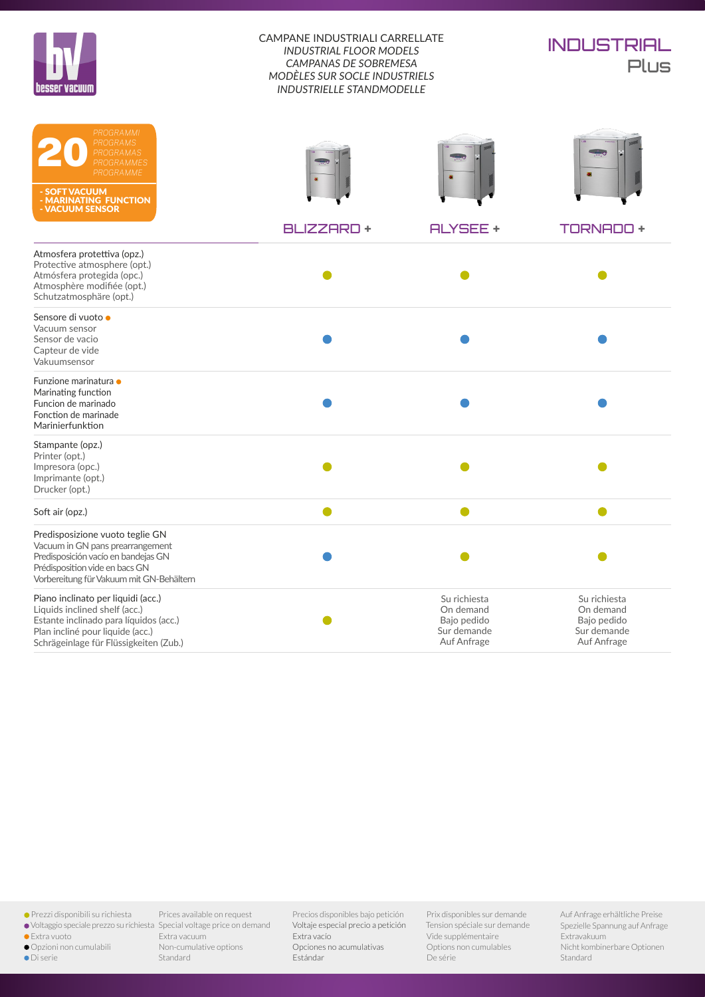| Iesser vacuum |  |
|---------------|--|



| PROGRAMMI<br><b>PROGRAMS</b><br>PROGRAMAS<br>PROGRAMMES<br>PROGRAMME<br>- SOFT VACUUM<br>- MARINATING FUNCTION<br>- VACUUM SENSOR                                                           |                  |                                                                        | $\overline{\phantom{a}}$                                               |
|---------------------------------------------------------------------------------------------------------------------------------------------------------------------------------------------|------------------|------------------------------------------------------------------------|------------------------------------------------------------------------|
|                                                                                                                                                                                             | <b>BLIZZARD+</b> | <b>ALYSEE +</b>                                                        | <b>TORNADO +</b>                                                       |
| Atmosfera protettiva (opz.)<br>Protective atmosphere (opt.)<br>Atmósfera protegida (opc.)<br>Atmosphère modifiée (opt.)<br>Schutzatmosphäre (opt.)                                          |                  |                                                                        |                                                                        |
| Sensore di vuoto ·<br>Vacuum sensor<br>Sensor de vacio<br>Capteur de vide<br>Vakuumsensor                                                                                                   |                  |                                                                        |                                                                        |
| Funzione marinatura ·<br>Marinating function<br>Funcion de marinado<br>Fonction de marinade<br>Marinierfunktion                                                                             |                  |                                                                        |                                                                        |
| Stampante (opz.)<br>Printer (opt.)<br>Impresora (opc.)<br>Imprimante (opt.)<br>Drucker (opt.)                                                                                               |                  |                                                                        |                                                                        |
| Soft air (opz.)                                                                                                                                                                             |                  |                                                                        |                                                                        |
| Predisposizione vuoto teglie GN<br>Vacuum in GN pans prearrangement<br>Predisposición vacío en bandejas GN<br>Prédisposition vide en bacs GN<br>Vorbereitung für Vakuum mit GN-Behältern    |                  |                                                                        |                                                                        |
| Piano inclinato per liquidi (acc.)<br>Liquids inclined shelf (acc.)<br>Estante inclinado para líquidos (acc.)<br>Plan incliné pour liquide (acc.)<br>Schrägeinlage für Flüssigkeiten (Zub.) |                  | Su richiesta<br>On demand<br>Bajo pedido<br>Sur demande<br>Auf Anfrage | Su richiesta<br>On demand<br>Bajo pedido<br>Sur demande<br>Auf Anfrage |

Prezzi disponibili su richiesta

- 
- Extra vuoto
- 
- Opzioni non cumulabili
- Di serie

Voltaggio speciale prezzo su richiesta Special voltage price on demand Prices available on request Extra vacuum Non-cumulative options Standard

Precios disponibles bajo petición Voltaje especial precio a petición Extra vacío Opciones no acumulativas Estándar

Prix disponibles sur demande Tension spéciale sur demande Vide supplémentaire Options non cumulables De série

Auf Anfrage erhältliche Preise Spezielle Spannung auf Anfrage Extravakuum Nicht kombinerbare Optionen Standard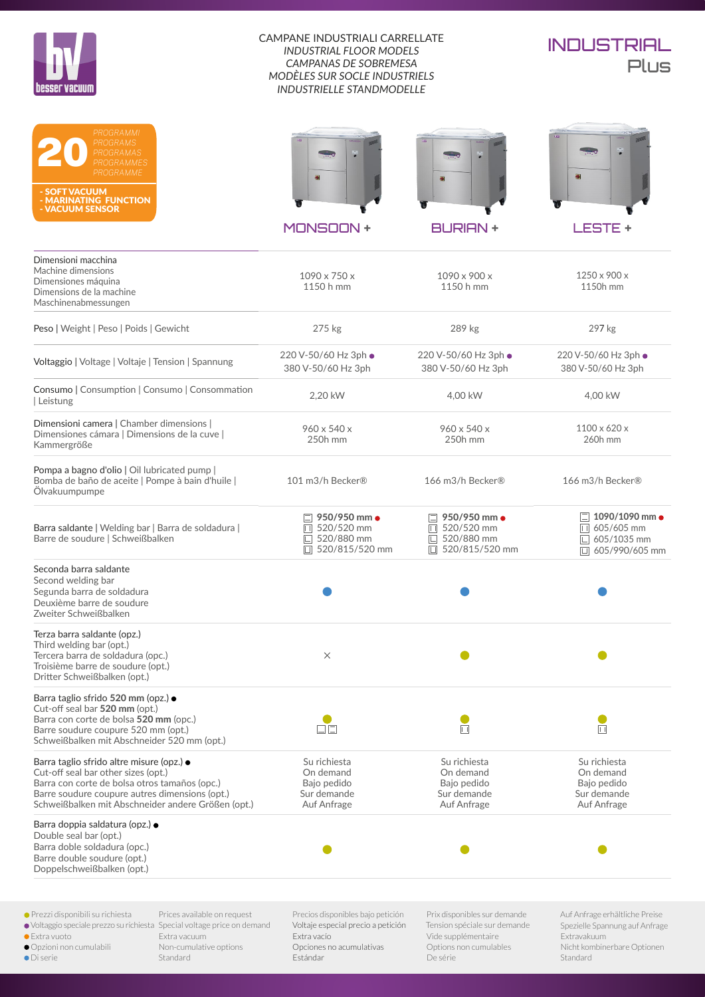

# **INDUSTRIAL** Plus

| PROGRAMMI<br>PROGRAMS<br>PROGRAMAS<br>PROGRAMMES<br>PROGRAMME<br>- SOFT VACUUM<br>- MARINATING FUNCTION<br>- VACUUM SENSOR                                                                                                                |                                                                                        |                                                                                      |                                                                                                       |
|-------------------------------------------------------------------------------------------------------------------------------------------------------------------------------------------------------------------------------------------|----------------------------------------------------------------------------------------|--------------------------------------------------------------------------------------|-------------------------------------------------------------------------------------------------------|
|                                                                                                                                                                                                                                           | <b>MONSOON +</b>                                                                       | <b>BURIAN +</b>                                                                      | <b>LESTE +</b>                                                                                        |
| Dimensioni macchina<br>Machine dimensions<br>Dimensiones máquina<br>Dimensions de la machine<br>Maschinenabmessungen                                                                                                                      | $1090 \times 750 \times$<br>1150 h mm                                                  | 1090 x 900 x<br>1150 h mm                                                            | 1250 x 900 x<br>1150h mm                                                                              |
| Peso   Weight   Peso   Poids   Gewicht                                                                                                                                                                                                    | 275 kg                                                                                 | 289 kg                                                                               | 297 kg                                                                                                |
| Voltaggio   Voltage   Voltaje   Tension   Spannung                                                                                                                                                                                        | 220 V-50/60 Hz 3ph ·<br>380 V-50/60 Hz 3ph                                             | 220 V-50/60 Hz 3ph ·<br>380 V-50/60 Hz 3ph                                           | 220 V-50/60 Hz 3ph .<br>380 V-50/60 Hz 3ph                                                            |
| Consumo   Consumption   Consumo   Consommation<br>  Leistung                                                                                                                                                                              | 2,20 kW                                                                                | 4.00 kW                                                                              | 4,00 kW                                                                                               |
| Dimensioni camera   Chamber dimensions  <br>Dimensiones cámara   Dimensions de la cuve  <br>Kammergröße                                                                                                                                   | $960 \times 540 \times$<br>250h mm                                                     | 960 x 540 x<br>250h mm                                                               | $1100 \times 620 \times$<br>260h mm                                                                   |
| Pompa a bagno d'olio   Oil lubricated pump  <br>Bomba de baño de aceite   Pompe à bain d'huile  <br>Ölvakuumpumpe                                                                                                                         | 101 m3/h Becker®                                                                       | 166 m3/h Becker®                                                                     | 166 m3/h Becker®                                                                                      |
| Barra saldante   Welding bar   Barra de soldadura  <br>Barre de soudure   Schweißbalken                                                                                                                                                   | 950/950 mm •<br>$\Box$ 520/520 mm<br>520/880 mm<br>L<br>$\Box$ 520/815/520 mm          | $\Box$ 950/950 mm $\bullet$<br>$\Box$ 520/520 mm<br>□ 520/880 mm<br>□ 520/815/520 mm | $\Box$ 1090/1090 mm $\bullet$<br>$\overline{11}$ 605/605 mm<br>$\Box$ 605/1035 mm<br>□ 605/990/605 mm |
| Seconda barra saldante<br>Second welding bar<br>Segunda barra de soldadura<br>Deuxième barre de soudure<br>Zweiter Schweißbalken                                                                                                          |                                                                                        |                                                                                      |                                                                                                       |
| Terza barra saldante (opz.)<br>Third welding bar (opt.)<br>Tercera barra de soldadura (opc.)<br>Troisième barre de soudure (opt.)<br>Dritter Schweißbalken (opt.)                                                                         | $\times$                                                                               |                                                                                      |                                                                                                       |
| Barra taglio sfrido 520 mm (opz.) ·<br>Cut-off seal bar 520 mm (opt.)<br>Barra con corte de bolsa 520 mm (opc.)<br>Barre soudure coupure 520 mm (opt.)<br>Schweißbalken mit Abschneider 520 mm (opt.)                                     | 口口                                                                                     | 同                                                                                    | $\Box$                                                                                                |
| Barra taglio sfrido altre misure (opz.) ·<br>Cut-off seal bar other sizes (opt.)<br>Barra con corte de bolsa otros tamaños (opc.)<br>Barre soudure coupure autres dimensions (opt.)<br>Schweißbalken mit Abschneider andere Größen (opt.) | Su richiesta<br>On demand<br>Bajo pedido<br>Sur demande<br>Auf Anfrage                 | Su richiesta<br>On demand<br>Bajo pedido<br>Sur demande<br>Auf Anfrage               | Su richiesta<br>On demand<br>Bajo pedido<br>Sur demande<br>Auf Anfrage                                |
| Barra doppia saldatura (opz.) $\bullet$<br>Double seal bar (opt.)<br>Barra doble soldadura (opc.)<br>Barre double soudure (opt.)<br>Doppelschweißbalken (opt.)                                                                            |                                                                                        |                                                                                      |                                                                                                       |
| ● Prezzi disponibili su richiesta<br>Prices available on request<br>· Voltaggio speciale prezzo su richiesta Special voltage price on demand<br>· Extra vuoto<br>Extra vacuum                                                             | Precios disponibles bajo petición<br>Voltaje especial precio a petición<br>Extra vacío | Prix disponibles sur demande<br>Tension spéciale sur demande<br>Vide supplémentaire  | Auf Anfrage erhältliche Preise<br>Spezielle Spannung auf Anfrage<br>Extravakuum                       |

 Opzioni non cumulabili Di serie

Extra vacuum Non-cumulative options Standard

Extra vacío Opciones no acumulativas Estándar

Vide supplémentaire Options non cumulables De série

Extravakuum Nicht kombinerbare Optionen Standard